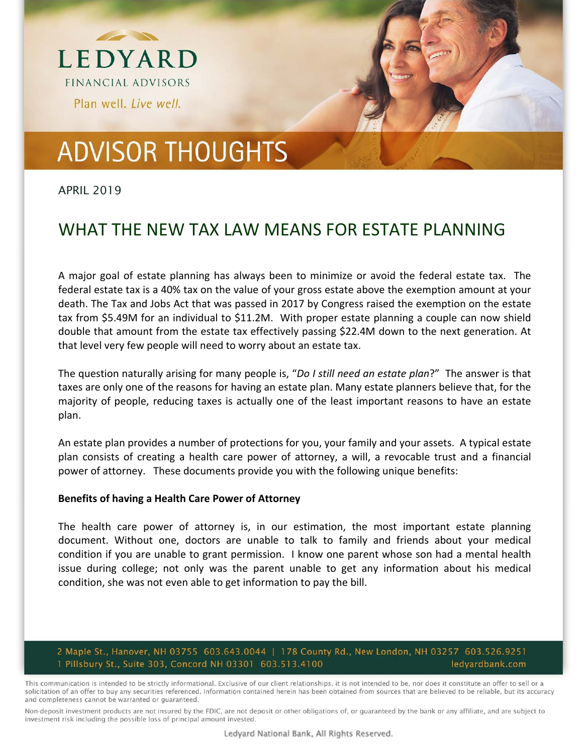

APRIL 2019

### WHAT THE NEW TAX LAW MEANS FOR ESTATE PLANNING

A major goal of estate planning has always been to minimize or avoid the federal estate tax. The federal estate tax is a 40% tax on the value of your gross estate above the exemption amount at your death. The Tax and Jobs Act that was passed in 2017 by Congress raised the exemption on the estate tax from \$5.49M for an individual to \$11.2M. With proper estate planning a couple can now shield double that amount from the estate tax effectively passing \$22.4M down to the next generation. At that level very few people will need to worry about an estate tax.

The question naturally arising for many people is, "*Do I still need an estate plan*?" The answer is that taxes are only one of the reasons for having an estate plan. Many estate planners believe that, for the majority of people, reducing taxes is actually one of the least important reasons to have an estate plan.

An estate plan provides a number of protections for you, your family and your assets. A typical estate plan consists of creating a health care power of attorney, a will, a revocable trust and a financial power of attorney. These documents provide you with the following unique benefits:

#### **Benefits of having a Health Care Power of Attorney**

The health care power of attorney is, in our estimation, the most important estate planning document. Without one, doctors are unable to talk to family and friends about your medical condition if you are unable to grant permission. I know one parent whose son had a mental health issue during college; not only was the parent unable to get any information about his medical condition, she was not even able to get information to pay the bill.

#### 2 Maple St., Hanover, NH 03755 603.643.0044 | 178 County Rd., New London, NH 03257 603.526.9251 1 Pillsbury St., Suite 303, Concord NH 03301 603.513.4100 ledyardbank.com

This communication is intended to be strictly informational. Exclusive of our client relationships, it is not intended to be, nor does it constitute an offer to sell or a solicitation of an offer to buy any securities referenced. Information contained herein has been obtained from sources that are believed to be reliable, but its accuracy and completeness cannot be warranted or guaranteed.

Non-deposit investment products are not insured by the FDIC, are not deposit or other obligations of, or guaranteed by the bank or any affiliate, and are subject to investment risk including the possible loss of principal amount invested.

Ledyard National Bank, All Rights Reserved.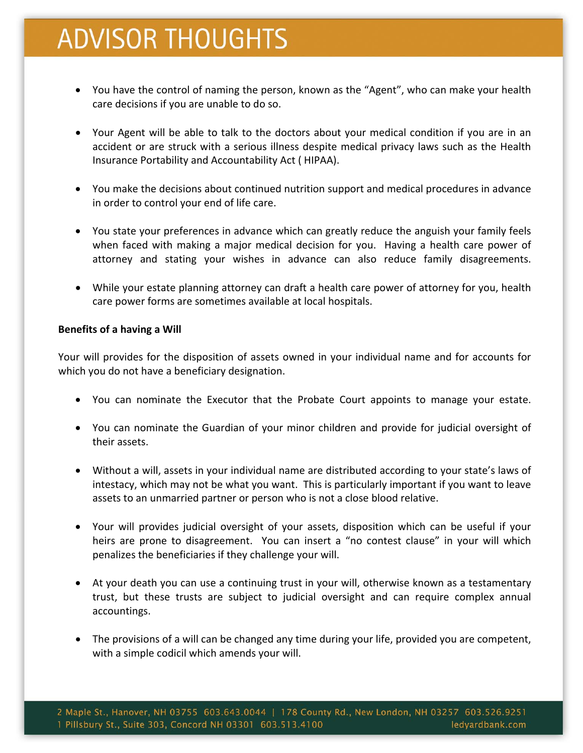- You have the control of naming the person, known as the "Agent", who can make your health care decisions if you are unable to do so.
- Your Agent will be able to talk to the doctors about your medical condition if you are in an accident or are struck with a serious illness despite medical privacy laws such as the Health Insurance Portability and Accountability Act ( HIPAA).
- You make the decisions about continued nutrition support and medical procedures in advance in order to control your end of life care.
- You state your preferences in advance which can greatly reduce the anguish your family feels when faced with making a major medical decision for you. Having a health care power of attorney and stating your wishes in advance can also reduce family disagreements.
- While your estate planning attorney can draft a health care power of attorney for you, health care power forms are sometimes available at local hospitals.

### **Benefits of a having a Will**

Your will provides for the disposition of assets owned in your individual name and for accounts for which you do not have a beneficiary designation.

- You can nominate the Executor that the Probate Court appoints to manage your estate.
- You can nominate the Guardian of your minor children and provide for judicial oversight of their assets.
- Without a will, assets in your individual name are distributed according to your state's laws of intestacy, which may not be what you want. This is particularly important if you want to leave assets to an unmarried partner or person who is not a close blood relative.
- Your will provides judicial oversight of your assets, disposition which can be useful if your heirs are prone to disagreement. You can insert a "no contest clause" in your will which penalizes the beneficiaries if they challenge your will.
- At your death you can use a continuing trust in your will, otherwise known as a testamentary trust, but these trusts are subject to judicial oversight and can require complex annual accountings.
- The provisions of a will can be changed any time during your life, provided you are competent, with a simple codicil which amends your will.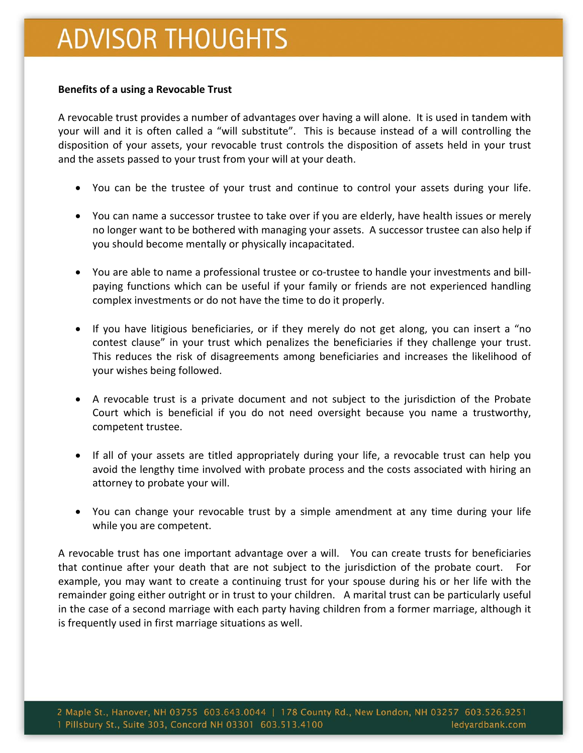#### **Benefits of a using a Revocable Trust**

A revocable trust provides a number of advantages over having a will alone. It is used in tandem with your will and it is often called a "will substitute". This is because instead of a will controlling the disposition of your assets, your revocable trust controls the disposition of assets held in your trust and the assets passed to your trust from your will at your death.

- You can be the trustee of your trust and continue to control your assets during your life.
- You can name a successor trustee to take over if you are elderly, have health issues or merely no longer want to be bothered with managing your assets. A successor trustee can also help if you should become mentally or physically incapacitated.
- You are able to name a professional trustee or co-trustee to handle your investments and billpaying functions which can be useful if your family or friends are not experienced handling complex investments or do not have the time to do it properly.
- If you have litigious beneficiaries, or if they merely do not get along, you can insert a "no contest clause" in your trust which penalizes the beneficiaries if they challenge your trust. This reduces the risk of disagreements among beneficiaries and increases the likelihood of your wishes being followed.
- A revocable trust is a private document and not subject to the jurisdiction of the Probate Court which is beneficial if you do not need oversight because you name a trustworthy, competent trustee.
- If all of your assets are titled appropriately during your life, a revocable trust can help you avoid the lengthy time involved with probate process and the costs associated with hiring an attorney to probate your will.
- You can change your revocable trust by a simple amendment at any time during your life while you are competent.

A revocable trust has one important advantage over a will. You can create trusts for beneficiaries that continue after your death that are not subject to the jurisdiction of the probate court. For example, you may want to create a continuing trust for your spouse during his or her life with the remainder going either outright or in trust to your children. A marital trust can be particularly useful in the case of a second marriage with each party having children from a former marriage, although it is frequently used in first marriage situations as well.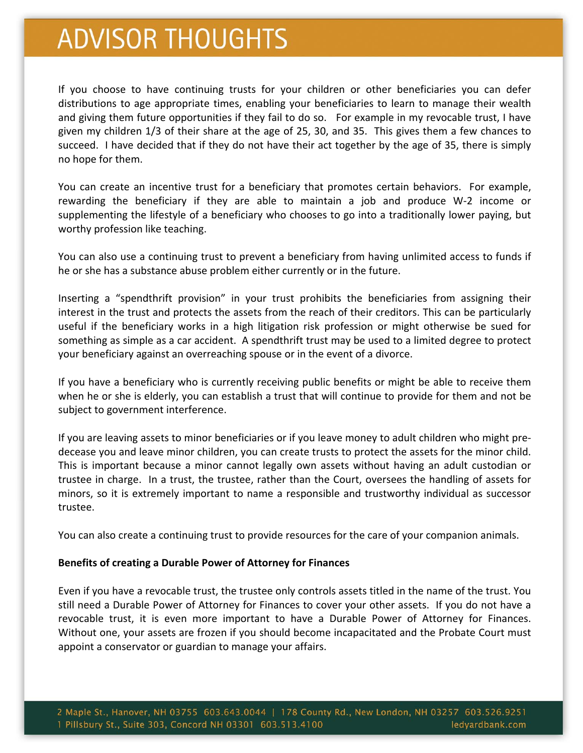If you choose to have continuing trusts for your children or other beneficiaries you can defer distributions to age appropriate times, enabling your beneficiaries to learn to manage their wealth and giving them future opportunities if they fail to do so. For example in my revocable trust, I have given my children 1/3 of their share at the age of 25, 30, and 35. This gives them a few chances to succeed. I have decided that if they do not have their act together by the age of 35, there is simply no hope for them.

You can create an incentive trust for a beneficiary that promotes certain behaviors. For example, rewarding the beneficiary if they are able to maintain a job and produce W‐2 income or supplementing the lifestyle of a beneficiary who chooses to go into a traditionally lower paying, but worthy profession like teaching.

You can also use a continuing trust to prevent a beneficiary from having unlimited access to funds if he or she has a substance abuse problem either currently or in the future.

Inserting a "spendthrift provision" in your trust prohibits the beneficiaries from assigning their interest in the trust and protects the assets from the reach of their creditors. This can be particularly useful if the beneficiary works in a high litigation risk profession or might otherwise be sued for something as simple as a car accident. A spendthrift trust may be used to a limited degree to protect your beneficiary against an overreaching spouse or in the event of a divorce.

If you have a beneficiary who is currently receiving public benefits or might be able to receive them when he or she is elderly, you can establish a trust that will continue to provide for them and not be subject to government interference.

If you are leaving assets to minor beneficiaries or if you leave money to adult children who might pre‐ decease you and leave minor children, you can create trusts to protect the assets for the minor child. This is important because a minor cannot legally own assets without having an adult custodian or trustee in charge. In a trust, the trustee, rather than the Court, oversees the handling of assets for minors, so it is extremely important to name a responsible and trustworthy individual as successor trustee.

You can also create a continuing trust to provide resources for the care of your companion animals.

#### **Benefits of creating a Durable Power of Attorney for Finances**

Even if you have a revocable trust, the trustee only controls assets titled in the name of the trust. You still need a Durable Power of Attorney for Finances to cover your other assets. If you do not have a revocable trust, it is even more important to have a Durable Power of Attorney for Finances. Without one, your assets are frozen if you should become incapacitated and the Probate Court must appoint a conservator or guardian to manage your affairs.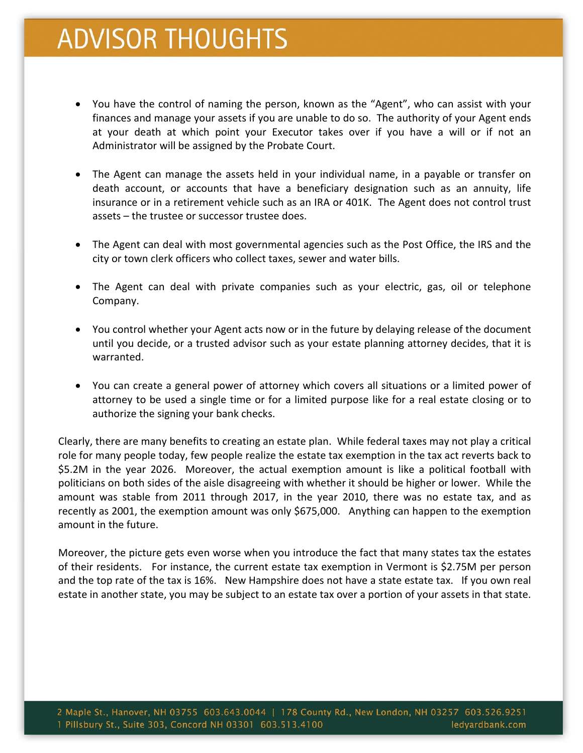- You have the control of naming the person, known as the "Agent", who can assist with your finances and manage your assets if you are unable to do so. The authority of your Agent ends at your death at which point your Executor takes over if you have a will or if not an Administrator will be assigned by the Probate Court.
- The Agent can manage the assets held in your individual name, in a payable or transfer on death account, or accounts that have a beneficiary designation such as an annuity, life insurance or in a retirement vehicle such as an IRA or 401K. The Agent does not control trust assets – the trustee or successor trustee does.
- The Agent can deal with most governmental agencies such as the Post Office, the IRS and the city or town clerk officers who collect taxes, sewer and water bills.
- The Agent can deal with private companies such as your electric, gas, oil or telephone Company.
- You control whether your Agent acts now or in the future by delaying release of the document until you decide, or a trusted advisor such as your estate planning attorney decides, that it is warranted.
- You can create a general power of attorney which covers all situations or a limited power of attorney to be used a single time or for a limited purpose like for a real estate closing or to authorize the signing your bank checks.

Clearly, there are many benefits to creating an estate plan. While federal taxes may not play a critical role for many people today, few people realize the estate tax exemption in the tax act reverts back to \$5.2M in the year 2026. Moreover, the actual exemption amount is like a political football with politicians on both sides of the aisle disagreeing with whether it should be higher or lower. While the amount was stable from 2011 through 2017, in the year 2010, there was no estate tax, and as recently as 2001, the exemption amount was only \$675,000. Anything can happen to the exemption amount in the future.

Moreover, the picture gets even worse when you introduce the fact that many states tax the estates of their residents. For instance, the current estate tax exemption in Vermont is \$2.75M per person and the top rate of the tax is 16%. New Hampshire does not have a state estate tax. If you own real estate in another state, you may be subject to an estate tax over a portion of your assets in that state.